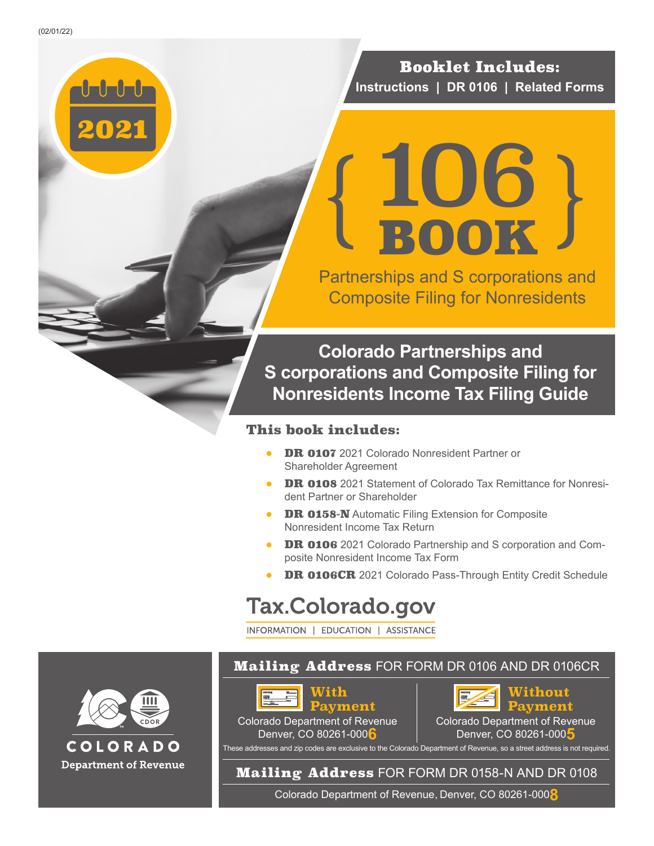2021

Booklet Includes: **Instructions | DR 0106 | Related Forms**

## 106 BOOK  $\left\{\frac{106}{\text{Book}}\right\}$

Partnerships and S corporations and Composite Filing for Nonresidents

**Colorado Partnerships and S corporations and Composite Filing for Nonresidents Income Tax Filing Guide**

#### This book includes:

- DR 0107 2021 Colorado Nonresident Partner or Shareholder Agreement
- **DR 0108** 2021 Statement of Colorado Tax Remittance for Nonresident Partner or Shareholder
- **DR 0158-N** Automatic Filing Extension for Composite Nonresident Income Tax Return
- DR 0106 2021 Colorado Partnership and S corporation and Composite Nonresident Income Tax Form
- DR 0106CR 2021 Colorado Pass-Through Entity Credit Schedule

## Tax.Colorado.gov

INFORMATION | EDUCATION | ASSISTANCE



#### **Mailing Address FOR FORM DR 0106 AND DR 0106CR**



Colorado Department of Revenue Denver, CO 80261-000**6**



Colorado Department of Revenue Denver, CO 80261-000**5**

These addresses and zip codes are exclusive to the Colorado Department of Revenue, so a street address is not required.

#### Mailing Address FOR FORM DR 0158-N AND DR 0108

Colorado Department of Revenue, Denver, CO 80261-000**8**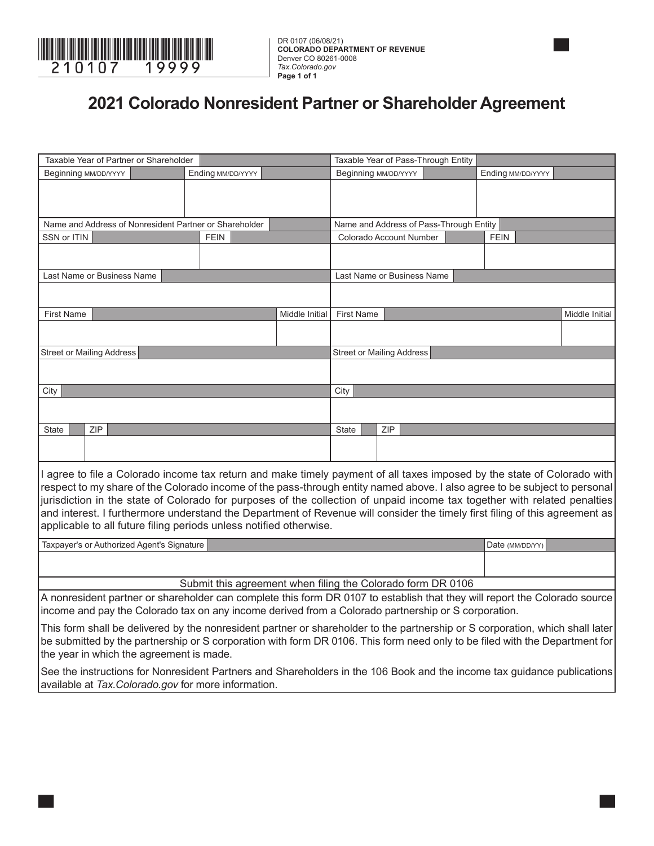

DR 0107 (06/08/21) **COLORADO DEPARTMENT OF REVENUE** Denver CO 80261-0008 *Tax.Colorado.gov* **Page 1 of 1**

#### **2021 Colorado Nonresident Partner or Shareholder Agreement**

|                                  | Taxable Year of Partner or Shareholder                                                                                        |                   |                                                             | Taxable Year of Pass-Through Entity |            |                                         |  |                   |                |
|----------------------------------|-------------------------------------------------------------------------------------------------------------------------------|-------------------|-------------------------------------------------------------|-------------------------------------|------------|-----------------------------------------|--|-------------------|----------------|
| Beginning MM/DD/YYYY             |                                                                                                                               | Ending MM/DD/YYYY |                                                             | Beginning MM/DD/YYYY                |            |                                         |  | Ending MM/DD/YYYY |                |
|                                  |                                                                                                                               |                   |                                                             |                                     |            |                                         |  |                   |                |
|                                  |                                                                                                                               |                   |                                                             |                                     |            |                                         |  |                   |                |
|                                  | Name and Address of Nonresident Partner or Shareholder                                                                        |                   |                                                             |                                     |            | Name and Address of Pass-Through Entity |  |                   |                |
| SSN or ITIN                      |                                                                                                                               | <b>FEIN</b>       |                                                             |                                     |            | Colorado Account Number                 |  | <b>FEIN</b>       |                |
|                                  |                                                                                                                               |                   |                                                             |                                     |            |                                         |  |                   |                |
|                                  |                                                                                                                               |                   |                                                             |                                     |            |                                         |  |                   |                |
|                                  | Last Name or Business Name                                                                                                    |                   |                                                             |                                     |            | Last Name or Business Name              |  |                   |                |
|                                  |                                                                                                                               |                   |                                                             |                                     |            |                                         |  |                   |                |
| <b>First Name</b>                |                                                                                                                               |                   | Middle Initial                                              | <b>First Name</b>                   |            |                                         |  |                   | Middle Initial |
|                                  |                                                                                                                               |                   |                                                             |                                     |            |                                         |  |                   |                |
|                                  |                                                                                                                               |                   |                                                             |                                     |            |                                         |  |                   |                |
| <b>Street or Mailing Address</b> |                                                                                                                               |                   |                                                             | <b>Street or Mailing Address</b>    |            |                                         |  |                   |                |
|                                  |                                                                                                                               |                   |                                                             |                                     |            |                                         |  |                   |                |
| City                             |                                                                                                                               |                   |                                                             | City                                |            |                                         |  |                   |                |
|                                  |                                                                                                                               |                   |                                                             |                                     |            |                                         |  |                   |                |
|                                  |                                                                                                                               |                   |                                                             |                                     |            |                                         |  |                   |                |
| <b>State</b>                     | ZIP                                                                                                                           |                   |                                                             | <b>State</b>                        | <b>ZIP</b> |                                         |  |                   |                |
|                                  |                                                                                                                               |                   |                                                             |                                     |            |                                         |  |                   |                |
|                                  |                                                                                                                               |                   |                                                             |                                     |            |                                         |  |                   |                |
|                                  | I agree to file a Colorado income tax return and make timely payment of all taxes imposed by the state of Colorado with       |                   |                                                             |                                     |            |                                         |  |                   |                |
|                                  | respect to my share of the Colorado income of the pass-through entity named above. I also agree to be subject to personal     |                   |                                                             |                                     |            |                                         |  |                   |                |
|                                  | jurisdiction in the state of Colorado for purposes of the collection of unpaid income tax together with related penalties     |                   |                                                             |                                     |            |                                         |  |                   |                |
|                                  | and interest. I furthermore understand the Department of Revenue will consider the timely first filing of this agreement as   |                   |                                                             |                                     |            |                                         |  |                   |                |
|                                  | applicable to all future filing periods unless notified otherwise.                                                            |                   |                                                             |                                     |            |                                         |  |                   |                |
|                                  | Taxpayer's or Authorized Agent's Signature                                                                                    |                   |                                                             |                                     |            |                                         |  | Date (MM/DD/YY)   |                |
|                                  |                                                                                                                               |                   |                                                             |                                     |            |                                         |  |                   |                |
|                                  |                                                                                                                               |                   |                                                             |                                     |            |                                         |  |                   |                |
|                                  |                                                                                                                               |                   | Submit this agreement when filing the Colorado form DR 0106 |                                     |            |                                         |  |                   |                |
|                                  | A nonresident partner or shareholder can complete this form DR 0107 to establish that they will report the Colorado source    |                   |                                                             |                                     |            |                                         |  |                   |                |
|                                  | income and pay the Colorado tax on any income derived from a Colorado partnership or S corporation.                           |                   |                                                             |                                     |            |                                         |  |                   |                |
|                                  | This form shall be delivered by the nonresident partner or shareholder to the partnership or S corporation, which shall later |                   |                                                             |                                     |            |                                         |  |                   |                |
|                                  | be submitted by the partnership or S corporation with form DR 0106. This form need only to be filed with the Department for   |                   |                                                             |                                     |            |                                         |  |                   |                |
|                                  | the year in which the agreement is made.                                                                                      |                   |                                                             |                                     |            |                                         |  |                   |                |

See the instructions for Nonresident Partners and Shareholders in the 106 Book and the income tax guidance publications available at *Tax.Colorado.gov* for more information.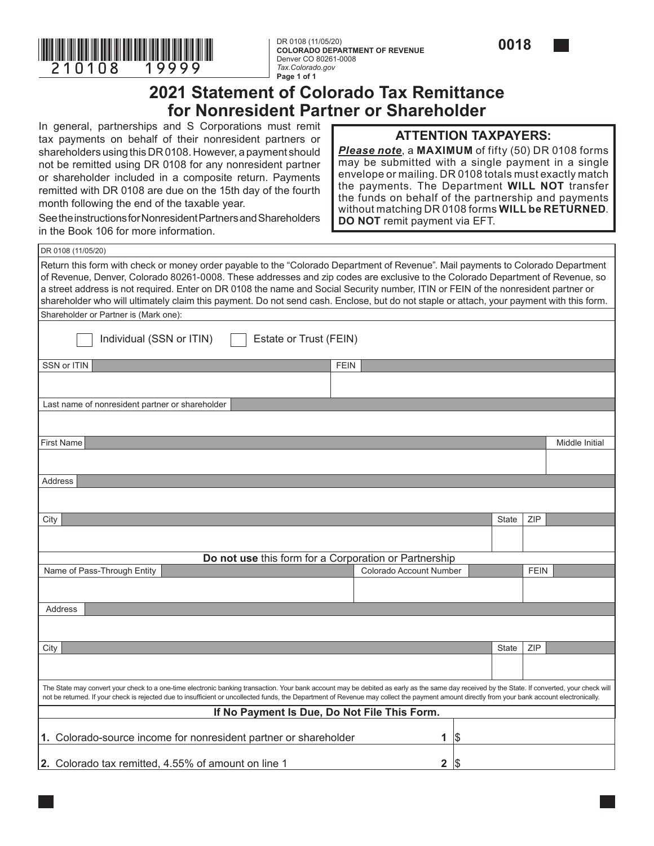

**COLORADO DEPARTMENT OF REVENUE** Denver CO 80261-0008 *Tax.Colorado.gov* **Page 1 of 1**



#### **2021 Statement of Colorado Tax Remittance for Nonresident Partner or Shareholder**

In general, partnerships and S Corporations must remit tax payments on behalf of their nonresident partners or shareholders using this DR 0108. However, a payment should not be remitted using DR 0108 for any nonresident partner or shareholder included in a composite return. Payments remitted with DR 0108 are due on the 15th day of the fourth month following the end of the taxable year.

#### **ATTENTION TAXPAYERS:**

*Please note*, a **MAXIMUM** of fifty (50) DR 0108 forms may be submitted with a single payment in a single envelope or mailing. DR 0108 totals must exactly match the payments. The Department **WILL NOT** transfer the funds on behalf of the partnership and payments without matching DR 0108 forms **WILL be RETURNED**. **DO NOT** remit payment via EFT.

See the instructions for Nonresident Partners and Shareholders in the Book 106 for more information.

| DR 0108 (11/05/20)                                                                                                                                                                                                                                                                                                                                                                                                                                                                                                                                   |                         |     |              |             |                |
|------------------------------------------------------------------------------------------------------------------------------------------------------------------------------------------------------------------------------------------------------------------------------------------------------------------------------------------------------------------------------------------------------------------------------------------------------------------------------------------------------------------------------------------------------|-------------------------|-----|--------------|-------------|----------------|
| Return this form with check or money order payable to the "Colorado Department of Revenue". Mail payments to Colorado Department<br>of Revenue, Denver, Colorado 80261-0008. These addresses and zip codes are exclusive to the Colorado Department of Revenue, so<br>a street address is not required. Enter on DR 0108 the name and Social Security number, ITIN or FEIN of the nonresident partner or<br>shareholder who will ultimately claim this payment. Do not send cash. Enclose, but do not staple or attach, your payment with this form. |                         |     |              |             |                |
| Shareholder or Partner is (Mark one):                                                                                                                                                                                                                                                                                                                                                                                                                                                                                                                |                         |     |              |             |                |
| Individual (SSN or ITIN)<br>Estate or Trust (FEIN)                                                                                                                                                                                                                                                                                                                                                                                                                                                                                                   |                         |     |              |             |                |
| SSN or ITIN<br><b>FEIN</b>                                                                                                                                                                                                                                                                                                                                                                                                                                                                                                                           |                         |     |              |             |                |
|                                                                                                                                                                                                                                                                                                                                                                                                                                                                                                                                                      |                         |     |              |             |                |
| Last name of nonresident partner or shareholder                                                                                                                                                                                                                                                                                                                                                                                                                                                                                                      |                         |     |              |             |                |
|                                                                                                                                                                                                                                                                                                                                                                                                                                                                                                                                                      |                         |     |              |             |                |
| <b>First Name</b>                                                                                                                                                                                                                                                                                                                                                                                                                                                                                                                                    |                         |     |              |             | Middle Initial |
|                                                                                                                                                                                                                                                                                                                                                                                                                                                                                                                                                      |                         |     |              |             |                |
| <b>Address</b>                                                                                                                                                                                                                                                                                                                                                                                                                                                                                                                                       |                         |     |              |             |                |
|                                                                                                                                                                                                                                                                                                                                                                                                                                                                                                                                                      |                         |     |              |             |                |
| City                                                                                                                                                                                                                                                                                                                                                                                                                                                                                                                                                 |                         |     | <b>State</b> | ZIP         |                |
|                                                                                                                                                                                                                                                                                                                                                                                                                                                                                                                                                      |                         |     |              |             |                |
| Do not use this form for a Corporation or Partnership                                                                                                                                                                                                                                                                                                                                                                                                                                                                                                |                         |     |              |             |                |
| Name of Pass-Through Entity                                                                                                                                                                                                                                                                                                                                                                                                                                                                                                                          | Colorado Account Number |     |              | <b>FEIN</b> |                |
|                                                                                                                                                                                                                                                                                                                                                                                                                                                                                                                                                      |                         |     |              |             |                |
| Address                                                                                                                                                                                                                                                                                                                                                                                                                                                                                                                                              |                         |     |              |             |                |
|                                                                                                                                                                                                                                                                                                                                                                                                                                                                                                                                                      |                         |     |              |             |                |
| City                                                                                                                                                                                                                                                                                                                                                                                                                                                                                                                                                 |                         |     | State        | ZIP         |                |
|                                                                                                                                                                                                                                                                                                                                                                                                                                                                                                                                                      |                         |     |              |             |                |
| The State may convert your check to a one-time electronic banking transaction. Your bank account may be debited as early as the same day received by the State. If converted, your check will<br>not be returned. If your check is rejected due to insufficient or uncollected funds, the Department of Revenue may collect the payment amount directly from your bank account electronically.                                                                                                                                                       |                         |     |              |             |                |
| If No Payment Is Due, Do Not File This Form.                                                                                                                                                                                                                                                                                                                                                                                                                                                                                                         |                         |     |              |             |                |
| 1. Colorado-source income for nonresident partner or shareholder                                                                                                                                                                                                                                                                                                                                                                                                                                                                                     | 1                       | 1\$ |              |             |                |
| 2. Colorado tax remitted, 4.55% of amount on line 1                                                                                                                                                                                                                                                                                                                                                                                                                                                                                                  | 2                       | 5   |              |             |                |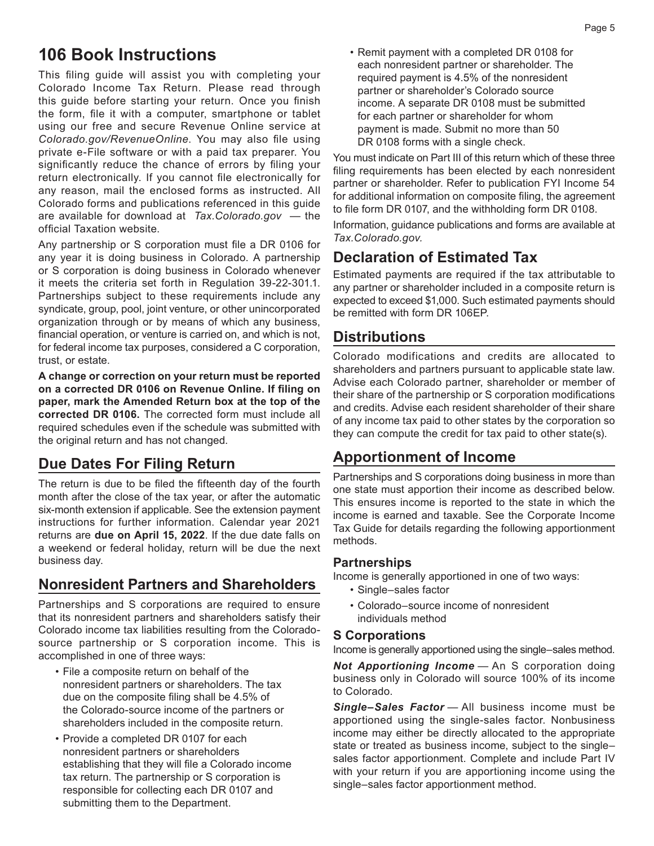#### **106 Book Instructions**

This filing guide will assist you with completing your Colorado Income Tax Return. Please read through this guide before starting your return. Once you finish the form, file it with a computer, smartphone or tablet using our free and secure Revenue Online service at *Colorado.gov/RevenueOnline*. You may also file using private e-File software or with a paid tax preparer. You significantly reduce the chance of errors by filing your return electronically. If you cannot file electronically for any reason, mail the enclosed forms as instructed. All Colorado forms and publications referenced in this guide are available for download at *[Tax.Colorado.gov](http://Tax.Colorado.gov)* — the official Taxation website.

Any partnership or S corporation must file a DR 0106 for any year it is doing business in Colorado. A partnership or S corporation is doing business in Colorado whenever it meets the criteria set forth in Regulation 39-22-301.1. Partnerships subject to these requirements include any syndicate, group, pool, joint venture, or other unincorporated organization through or by means of which any business, financial operation, or venture is carried on, and which is not, for federal income tax purposes, considered a C corporation, trust, or estate.

**A change or correction on your return must be reported on a corrected DR 0106 on Revenue Online. If filing on paper, mark the Amended Return box at the top of the corrected DR 0106.** The corrected form must include all required schedules even if the schedule was submitted with the original return and has not changed.

#### **Due Dates For Filing Return**

The return is due to be filed the fifteenth day of the fourth month after the close of the tax year, or after the automatic six-month extension if applicable. See the extension payment instructions for further information. Calendar year 2021 returns are **due on April 15, 2022**. If the due date falls on a weekend or federal holiday, return will be due the next business day.

#### **Nonresident Partners and Shareholders**

Partnerships and S corporations are required to ensure that its nonresident partners and shareholders satisfy their Colorado income tax liabilities resulting from the Coloradosource partnership or S corporation income. This is accomplished in one of three ways:

- File a composite return on behalf of the nonresident partners or shareholders. The tax due on the composite filing shall be 4.5% of the Colorado-source income of the partners or shareholders included in the composite return.
- Provide a completed DR 0107 for each nonresident partners or shareholders establishing that they will file a Colorado income tax return. The partnership or S corporation is responsible for collecting each DR 0107 and submitting them to the Department.

• Remit payment with a completed DR 0108 for each nonresident partner or shareholder. The required payment is 4.5% of the nonresident partner or shareholder's Colorado source income. A separate DR 0108 must be submitted for each partner or shareholder for whom payment is made. Submit no more than 50 DR 0108 forms with a single check.

You must indicate on Part III of this return which of these three filing requirements has been elected by each nonresident partner or shareholder. Refer to publication FYI Income 54 for additional information on composite filing, the agreement to file form DR 0107, and the withholding form DR 0108.

Information, guidance publications and forms are available at *[Tax.Colorado.gov.](http://Tax.Colorado.gov)*

#### **Declaration of Estimated Tax**

Estimated payments are required if the tax attributable to any partner or shareholder included in a composite return is expected to exceed \$1,000. Such estimated payments should be remitted with form DR 106EP.

#### **Distributions**

Colorado modifications and credits are allocated to shareholders and partners pursuant to applicable state law. Advise each Colorado partner, shareholder or member of their share of the partnership or S corporation modifications and credits. Advise each resident shareholder of their share of any income tax paid to other states by the corporation so they can compute the credit for tax paid to other state(s).

#### **Apportionment of Income**

Partnerships and S corporations doing business in more than one state must apportion their income as described below. This ensures income is reported to the state in which the income is earned and taxable. See the Corporate Income Tax Guide for details regarding the following apportionment methods.

#### **Partnerships**

Income is generally apportioned in one of two ways:

- Single–sales factor
- Colorado–source income of nonresident individuals method

#### **S Corporations**

Income is generally apportioned using the single–sales method.

**Not Apportioning Income** - An S corporation doing business only in Colorado will source 100% of its income to Colorado.

*Single–Sales Factor* — All business income must be apportioned using the single-sales factor. Nonbusiness income may either be directly allocated to the appropriate state or treated as business income, subject to the single– sales factor apportionment. Complete and include Part IV with your return if you are apportioning income using the single–sales factor apportionment method.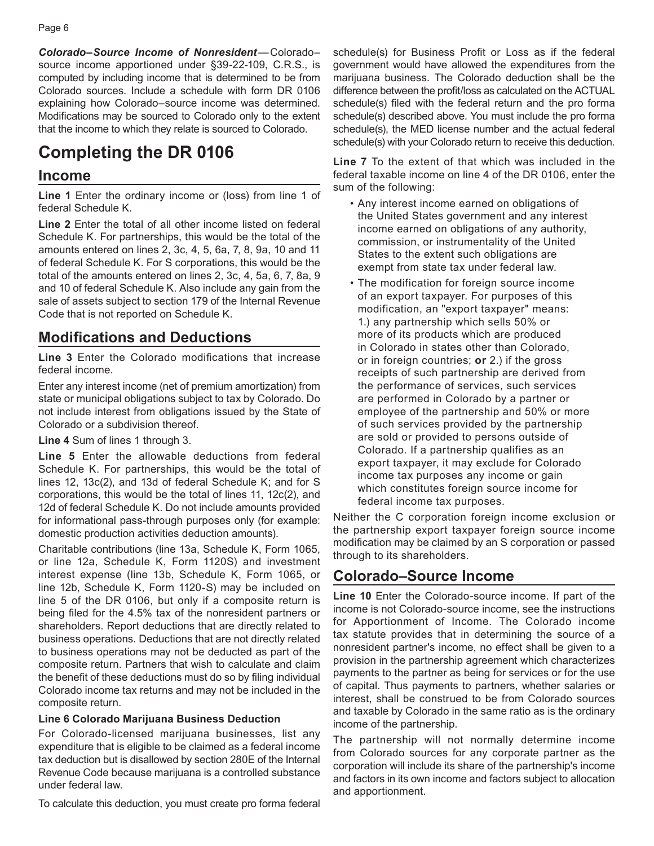*Colorado–Source Income of Nonresident*—Colorado– source income apportioned under §39-22-109, C.R.S., is computed by including income that is determined to be from Colorado sources. Include a schedule with form DR 0106 explaining how Colorado–source income was determined. Modifications may be sourced to Colorado only to the extent that the income to which they relate is sourced to Colorado.

### **Completing the DR 0106**

#### **Income**

**Line [1](#page-9-0)** Enter the ordinary income or (loss) from line 1 of federal Schedule K.

**Line [2](#page-9-1)** Enter the total of all other income listed on federal Schedule K. For partnerships, this would be the total of the amounts entered on lines 2, 3c, 4, 5, 6a, 7, 8, 9a, 10 and 11 of federal Schedule K. For S corporations, this would be the total of the amounts entered on lines 2, 3c, 4, 5a, 6, 7, 8a, 9 and 10 of federal Schedule K. Also include any gain from the sale of assets subject to section 179 of the Internal Revenue Code that is not reported on Schedule K.

#### **Modifications and Deductions**

**Line [3](#page-9-2)** Enter the Colorado modifications that increase federal income.

Enter any interest income (net of premium amortization) from state or municipal obligations subject to tax by Colorado. Do not include interest from obligations issued by the State of Colorado or a subdivision thereof.

**Line [4](#page-9-3)** Sum of lines [1](#page-9-0) through [3](#page-9-2).

**Line [5](#page-9-4)** Enter the allowable deductions from federal Schedule K. For partnerships, this would be the total of lines 12, 13c(2), and 13d of federal Schedule K; and for S corporations, this would be the total of lines 11, 12c(2), and 12d of federal Schedule K. Do not include amounts provided for informational pass-through purposes only (for example: domestic production activities deduction amounts).

Charitable contributions (line 13a, Schedule K, Form 1065, or line 12a, Schedule K, Form 1120S) and investment interest expense (line 13b, Schedule K, Form 1065, or line 12b, Schedule K, Form 1120-S) may be included on line [5](#page-9-4) of the DR 0106, but only if a composite return is being filed for the 4.5% tax of the nonresident partners or shareholders. Report deductions that are directly related to business operations. Deductions that are not directly related to business operations may not be deducted as part of the composite return. Partners that wish to calculate and claim the benefit of these deductions must do so by filing individual Colorado income tax returns and may not be included in the composite return.

#### **Line [6](#page-9-5) Colorado Marijuana Business Deduction**

For Colorado-licensed marijuana businesses, list any expenditure that is eligible to be claimed as a federal income tax deduction but is disallowed by section 280E of the Internal Revenue Code because marijuana is a controlled substance under federal law.

To calculate this deduction, you must create pro forma federal

schedule(s) for Business Profit or Loss as if the federal government would have allowed the expenditures from the marijuana business. The Colorado deduction shall be the difference between the profit/loss as calculated on the ACTUAL schedule(s) filed with the federal return and the pro forma schedule(s) described above. You must include the pro forma schedule(s), the MED license number and the actual federal schedule(s) with your Colorado return to receive this deduction.

**Line [7](#page-9-6)** To the extent of that which was included in the federal taxable income on line [4](#page-9-3) of the DR 0106, enter the sum of the following:

- Any interest income earned on obligations of the United States government and any interest income earned on obligations of any authority, commission, or instrumentality of the United States to the extent such obligations are exempt from state tax under federal law.
- The modification for foreign source income of an export taxpayer. For purposes of this modification, an "export taxpayer" means: 1.) any partnership which sells 50% or more of its products which are produced in Colorado in states other than Colorado, or in foreign countries; **or** 2.) if the gross receipts of such partnership are derived from the performance of services, such services are performed in Colorado by a partner or employee of the partnership and 50% or more of such services provided by the partnership are sold or provided to persons outside of Colorado. If a partnership qualifies as an export taxpayer, it may exclude for Colorado income tax purposes any income or gain which constitutes foreign source income for federal income tax purposes.

Neither the C corporation foreign income exclusion or the partnership export taxpayer foreign source income modification may be claimed by an S corporation or passed through to its shareholders.

#### **Colorado–Source Income**

**Line [10](#page-10-0)** Enter the Colorado-source income. If part of the income is not Colorado-source income, see the instructions for Apportionment of Income. The Colorado income tax statute provides that in determining the source of a nonresident partner's income, no effect shall be given to a provision in the partnership agreement which characterizes payments to the partner as being for services or for the use of capital. Thus payments to partners, whether salaries or interest, shall be construed to be from Colorado sources and taxable by Colorado in the same ratio as is the ordinary income of the partnership.

The partnership will not normally determine income from Colorado sources for any corporate partner as the corporation will include its share of the partnership's income and factors in its own income and factors subject to allocation and apportionment.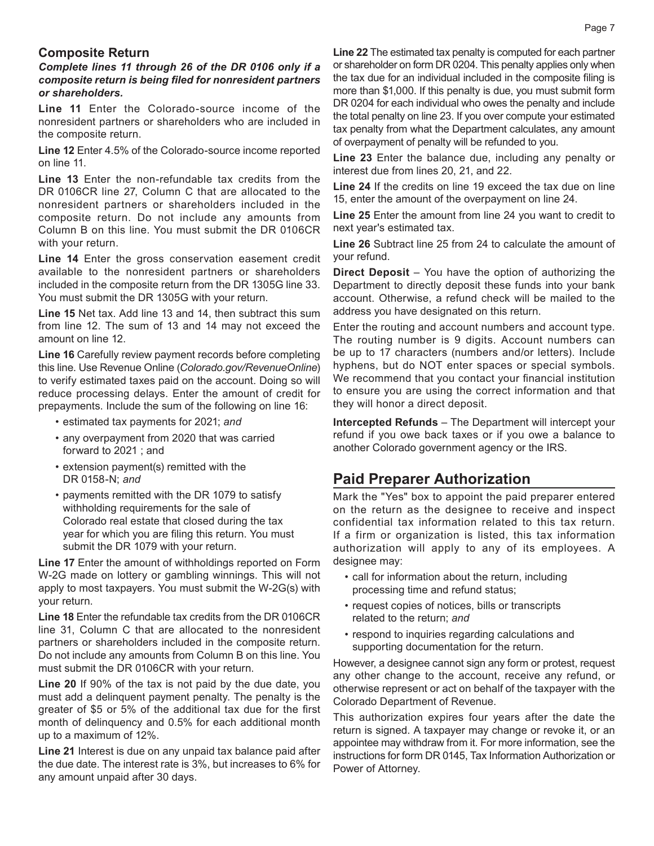#### **Composite Return**

*Complete lines [11](#page-10-1) through [26](#page-10-2) of the DR 0106 only if a composite return is being filed for nonresident partners or shareholders.*

**Line [11](#page-10-1)** Enter the Colorado-source income of the nonresident partners or shareholders who are included in the composite return.

**Line [12](#page-10-3)** Enter 4.5% of the Colorado-source income reported on line [11](#page-10-1).

**Line [13](#page-10-4)** Enter the non-refundable tax credits from the DR 0106CR line [27](#page-18-0), Column C that are allocated to the nonresident partners or shareholders included in the composite return. Do not include any amounts from Column B on this line. You must submit the DR 0106CR with your return.

**Line [14](#page-10-5)** Enter the gross conservation easement credit available to the nonresident partners or shareholders included in the composite return from the DR 1305G line 33. You must submit the DR 1305G with your return.

**Line [15](#page-10-6)** Net tax. Add line [13](#page-10-4) and [14](#page-10-5), then subtract this sum from line [12](#page-10-3). The sum of [13](#page-10-4) and [14](#page-10-5) may not exceed the amount on line [12](#page-10-3).

**Line [16](#page-10-7)** Carefully review payment records before completing this line. Use Revenue Online (*Colorado.gov/RevenueOnline*) to verify estimated taxes paid on the account. Doing so will reduce processing delays. Enter the amount of credit for prepayments. Include the sum of the following on line [16](#page-10-7):

- estimated tax payments for 2021; *and*
- any overpayment from 2020 that was carried forward to 2021 ; and
- extension payment(s) remitted with the DR 0158-N; *and*
- payments remitted with the DR 1079 to satisfy withholding requirements for the sale of Colorado real estate that closed during the tax year for which you are filing this return. You must submit the DR 1079 with your return.

**Line [17](#page-10-8)** Enter the amount of withholdings reported on Form W-2G made on lottery or gambling winnings. This will not apply to most taxpayers. You must submit the W-2G(s) with your return.

**Line [18](#page-10-9)** Enter the refundable tax credits from the DR 0106CR line [31](#page-18-1), Column C that are allocated to the nonresident partners or shareholders included in the composite return. Do not include any amounts from Column B on this line. You must submit the DR 0106CR with your return.

**Line [20](#page-10-10)** If 90% of the tax is not paid by the due date, you must add a delinquent payment penalty. The penalty is the greater of \$5 or 5% of the additional tax due for the first month of delinquency and 0.5% for each additional month up to a maximum of 12%.

**Line [21](#page-10-11)** Interest is due on any unpaid tax balance paid after the due date. The interest rate is 3%, but increases to 6% for any amount unpaid after 30 days.

**Line [22](#page-10-12)** The estimated tax penalty is computed for each partner or shareholder on form DR 0204. This penalty applies only when the tax due for an individual included in the composite filing is more than \$1,000. If this penalty is due, you must submit form DR 0204 for each individual who owes the penalty and include the total penalty on line [23.](#page-10-13) If you over compute your estimated tax penalty from what the Department calculates, any amount of overpayment of penalty will be refunded to you.

**Line [23](#page-10-13)** Enter the balance due, including any penalty or interest due from lines [20,](#page-10-10) [21,](#page-10-11) and [22.](#page-10-12)

**Line [24](#page-10-14)** If the credits on line [19](#page-10-15) exceed the tax due on line [15,](#page-10-6) enter the amount of the overpayment on line [24](#page-10-14).

**Line [25](#page-10-16)** Enter the amount from line [24](#page-10-14) you want to credit to next year's estimated tax.

**Line [26](#page-10-2)** Subtract line [25](#page-10-16) from [24](#page-10-14) to calculate the amount of your refund.

**Direct Deposit** – You have the option of authorizing the Department to directly deposit these funds into your bank account. Otherwise, a refund check will be mailed to the address you have designated on this return.

Enter the routing and account numbers and account type. The routing number is 9 digits. Account numbers can be up to 17 characters (numbers and/or letters). Include hyphens, but do NOT enter spaces or special symbols. We recommend that you contact your financial institution to ensure you are using the correct information and that they will honor a direct deposit.

**Intercepted Refunds** – The Department will intercept your refund if you owe back taxes or if you owe a balance to another Colorado government agency or the IRS.

#### **Paid Preparer Authorization**

Mark the "Yes" box to appoint the paid preparer entered on the return as the designee to receive and inspect confidential tax information related to this tax return. If a firm or organization is listed, this tax information authorization will apply to any of its employees. A designee may:

- call for information about the return, including processing time and refund status;
- request copies of notices, bills or transcripts related to the return; *and*
- respond to inquiries regarding calculations and supporting documentation for the return.

However, a designee cannot sign any form or protest, request any other change to the account, receive any refund, or otherwise represent or act on behalf of the taxpayer with the Colorado Department of Revenue.

This authorization expires four years after the date the return is signed. A taxpayer may change or revoke it, or an appointee may withdraw from it. For more information, see the instructions for form DR 0145, Tax Information Authorization or Power of Attorney.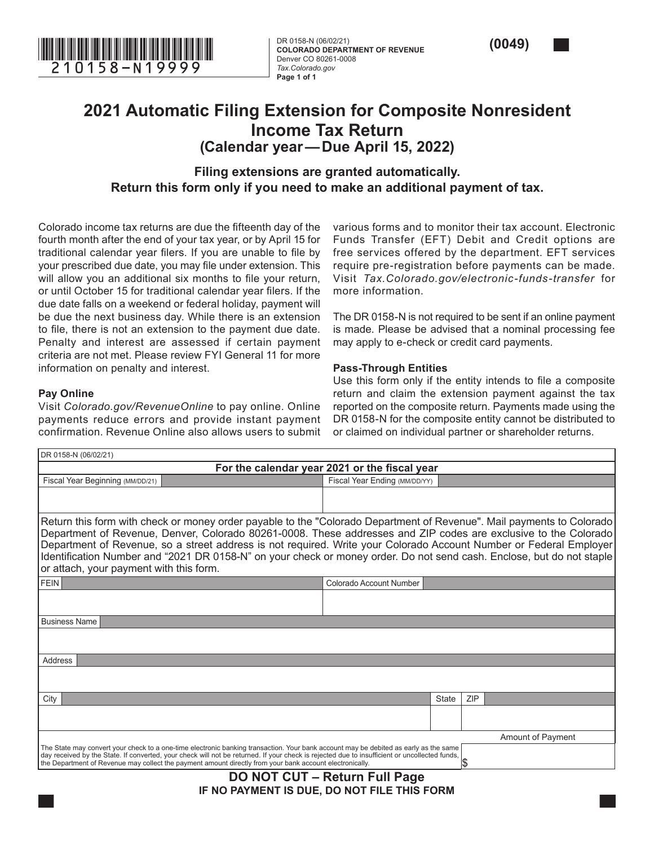

**COLORADO DEPARTMENT OF REVENUE** Denver CO 80261-0008 *Tax.Colorado.gov* **Page 1 of 1**



#### **2021 Automatic Filing Extension for Composite Nonresident Income Tax Return (Calendar year—Due April 15, 2022)**

**Filing extensions are granted automatically. Return this form only if you need to make an additional payment of tax.**

Colorado income tax returns are due the fifteenth day of the fourth month after the end of your tax year, or by April 15 for traditional calendar year filers. If you are unable to file by your prescribed due date, you may file under extension. This will allow you an additional six months to file your return, or until October 15 for traditional calendar year filers. If the due date falls on a weekend or federal holiday, payment will be due the next business day. While there is an extension to file, there is not an extension to the payment due date. Penalty and interest are assessed if certain payment criteria are not met. Please review FYI General 11 for more information on penalty and interest.

#### **Pay Online**

 $\sqrt{2}$ 

Visit *Colorado.gov/RevenueOnline* to pay online. Online payments reduce errors and provide instant payment confirmation. Revenue Online also allows users to submit various forms and to monitor their tax account. Electronic Funds Transfer (EFT) Debit and Credit options are free services offered by the department. EFT services require pre-registration before payments can be made. Visit *Tax.Colorado.gov/electronic-funds-transfer* for more information.

The DR 0158-N is not required to be sent if an online payment is made. Please be advised that a nominal processing fee may apply to e-check or credit card payments.

#### **Pass-Through Entities**

Use this form only if the entity intends to file a composite return and claim the extension payment against the tax reported on the composite return. Payments made using the DR 0158-N for the composite entity cannot be distributed to or claimed on individual partner or shareholder returns.

| I DR 0158-N (06/02/21)                                                                                                                                                                                                                                    |                                                                                                                       |
|-----------------------------------------------------------------------------------------------------------------------------------------------------------------------------------------------------------------------------------------------------------|-----------------------------------------------------------------------------------------------------------------------|
|                                                                                                                                                                                                                                                           | For the calendar year 2021 or the fiscal year                                                                         |
| Fiscal Year Beginning (MM/DD/21)                                                                                                                                                                                                                          | Fiscal Year Ending (MM/DD/YY)                                                                                         |
|                                                                                                                                                                                                                                                           |                                                                                                                       |
|                                                                                                                                                                                                                                                           |                                                                                                                       |
|                                                                                                                                                                                                                                                           | Return this form with check or money order payable to the "Colorado Department of Revenue". Mail payments to Colorado |
|                                                                                                                                                                                                                                                           | Department of Revenue, Denver, Colorado 80261-0008. These addresses and ZIP codes are exclusive to the Colorado       |
|                                                                                                                                                                                                                                                           | Department of Revenue, so a street address is not required. Write your Colorado Account Number or Federal Employer    |
| or attach, your payment with this form.                                                                                                                                                                                                                   | Identification Number and "2021 DR 0158-N" on your check or money order. Do not send cash. Enclose, but do not staple |
|                                                                                                                                                                                                                                                           |                                                                                                                       |
| <b>FEIN</b>                                                                                                                                                                                                                                               | Colorado Account Number                                                                                               |
|                                                                                                                                                                                                                                                           |                                                                                                                       |
| <b>Business Name</b>                                                                                                                                                                                                                                      |                                                                                                                       |
|                                                                                                                                                                                                                                                           |                                                                                                                       |
|                                                                                                                                                                                                                                                           |                                                                                                                       |
| Address                                                                                                                                                                                                                                                   |                                                                                                                       |
|                                                                                                                                                                                                                                                           |                                                                                                                       |
|                                                                                                                                                                                                                                                           |                                                                                                                       |
| City                                                                                                                                                                                                                                                      | <b>ZIP</b><br><b>State</b>                                                                                            |
|                                                                                                                                                                                                                                                           |                                                                                                                       |
|                                                                                                                                                                                                                                                           | <b>Amount of Payment</b>                                                                                              |
| The State may convert your check to a one-time electronic banking transaction. Your bank account may be debited as early as the same                                                                                                                      |                                                                                                                       |
| day received by the State. If converted, your check will not be returned. If your check is rejected due to insufficient or uncollected funds,<br>the Department of Revenue may collect the payment amount directly from your bank account electronically. |                                                                                                                       |
| ----------                                                                                                                                                                                                                                                | - - -                                                                                                                 |

**DO NOT CUT – Return Full Page IF NO PAYMENT IS DUE, DO NOT FILE THIS FORM**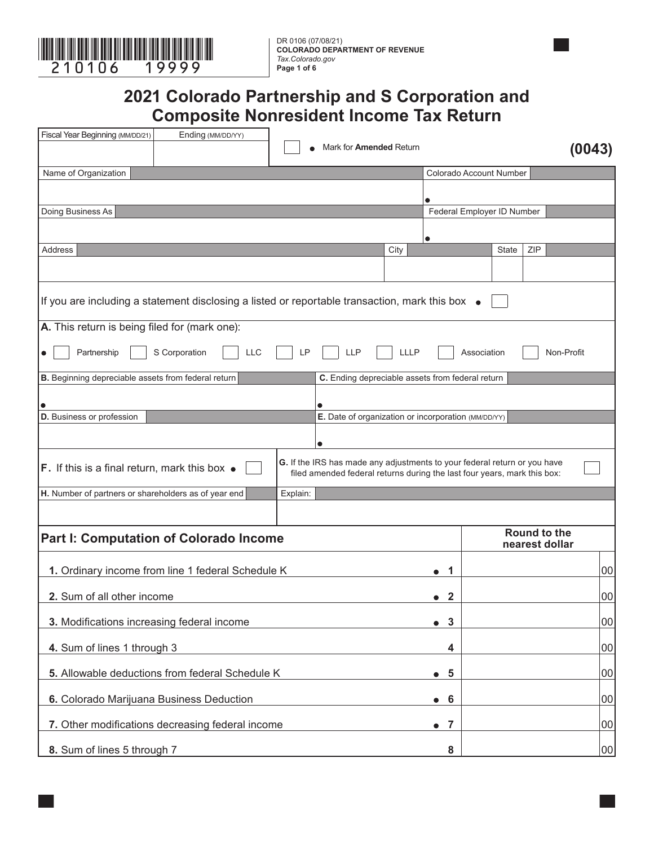

**COLORADO DEPARTMENT OF REVENUE** *Tax.Colorado.gov* **Page 1 of 6**

#### **2021 Colorado Partnership and S Corporation and Composite Nonresident Income Tax Return**

<span id="page-9-7"></span><span id="page-9-6"></span><span id="page-9-5"></span><span id="page-9-4"></span><span id="page-9-3"></span><span id="page-9-2"></span><span id="page-9-1"></span><span id="page-9-0"></span>

| Fiscal Year Beginning (MM/DD/21)<br>Ending (MM/DD/YY)                                           | Mark for <b>Amended</b> Return                                                                                                                        |                                                  |                            |                                       |
|-------------------------------------------------------------------------------------------------|-------------------------------------------------------------------------------------------------------------------------------------------------------|--------------------------------------------------|----------------------------|---------------------------------------|
|                                                                                                 |                                                                                                                                                       |                                                  |                            | (0043)                                |
| Name of Organization                                                                            |                                                                                                                                                       |                                                  | Colorado Account Number    |                                       |
|                                                                                                 |                                                                                                                                                       |                                                  |                            |                                       |
| Doing Business As                                                                               |                                                                                                                                                       |                                                  | Federal Employer ID Number |                                       |
|                                                                                                 |                                                                                                                                                       |                                                  |                            |                                       |
| Address                                                                                         |                                                                                                                                                       | $\bullet$<br>City                                | <b>State</b>               | ZIP                                   |
|                                                                                                 |                                                                                                                                                       |                                                  |                            |                                       |
|                                                                                                 |                                                                                                                                                       |                                                  |                            |                                       |
| If you are including a statement disclosing a listed or reportable transaction, mark this box ● |                                                                                                                                                       |                                                  |                            |                                       |
| A. This return is being filed for (mark one):                                                   |                                                                                                                                                       |                                                  |                            |                                       |
| Partnership<br>S Corporation<br><b>LLC</b>                                                      | <b>LLP</b><br>LP                                                                                                                                      | LLLP                                             | Association                | Non-Profit                            |
|                                                                                                 |                                                                                                                                                       |                                                  |                            |                                       |
| B. Beginning depreciable assets from federal return                                             |                                                                                                                                                       | C. Ending depreciable assets from federal return |                            |                                       |
|                                                                                                 |                                                                                                                                                       |                                                  |                            |                                       |
| D. Business or profession                                                                       | E. Date of organization or incorporation (MM/DD/YY)                                                                                                   |                                                  |                            |                                       |
|                                                                                                 |                                                                                                                                                       |                                                  |                            |                                       |
|                                                                                                 | $\bullet$                                                                                                                                             |                                                  |                            |                                       |
| F. If this is a final return, mark this box $\bullet$                                           | G. If the IRS has made any adjustments to your federal return or you have<br>filed amended federal returns during the last four years, mark this box: |                                                  |                            |                                       |
| H. Number of partners or shareholders as of year end                                            | Explain:                                                                                                                                              |                                                  |                            |                                       |
|                                                                                                 |                                                                                                                                                       |                                                  |                            |                                       |
| <b>Part I: Computation of Colorado Income</b>                                                   |                                                                                                                                                       |                                                  |                            | <b>Round to the</b><br>nearest dollar |
| 1. Ordinary income from line 1 federal Schedule K                                               |                                                                                                                                                       | 1                                                |                            | 00                                    |
|                                                                                                 |                                                                                                                                                       |                                                  |                            |                                       |
| 2. Sum of all other income                                                                      |                                                                                                                                                       | $\mathbf{2}$<br>$\bullet$                        |                            | 00                                    |
| 3. Modifications increasing federal income                                                      |                                                                                                                                                       | $\mathbf{3}$<br>$\bullet$                        |                            | 00                                    |
| 4. Sum of lines 1 through 3                                                                     |                                                                                                                                                       | 4                                                |                            | 00                                    |
| 5. Allowable deductions from federal Schedule K                                                 |                                                                                                                                                       | 5<br>$\bullet$                                   |                            | 00                                    |
| 6. Colorado Marijuana Business Deduction                                                        |                                                                                                                                                       | 6<br>$\bullet$                                   |                            | 00                                    |
| 7. Other modifications decreasing federal income                                                |                                                                                                                                                       | $\overline{7}$<br>$\bullet$                      |                            | 00                                    |
| 8. Sum of lines 5 through 7                                                                     |                                                                                                                                                       | 8                                                |                            | 00                                    |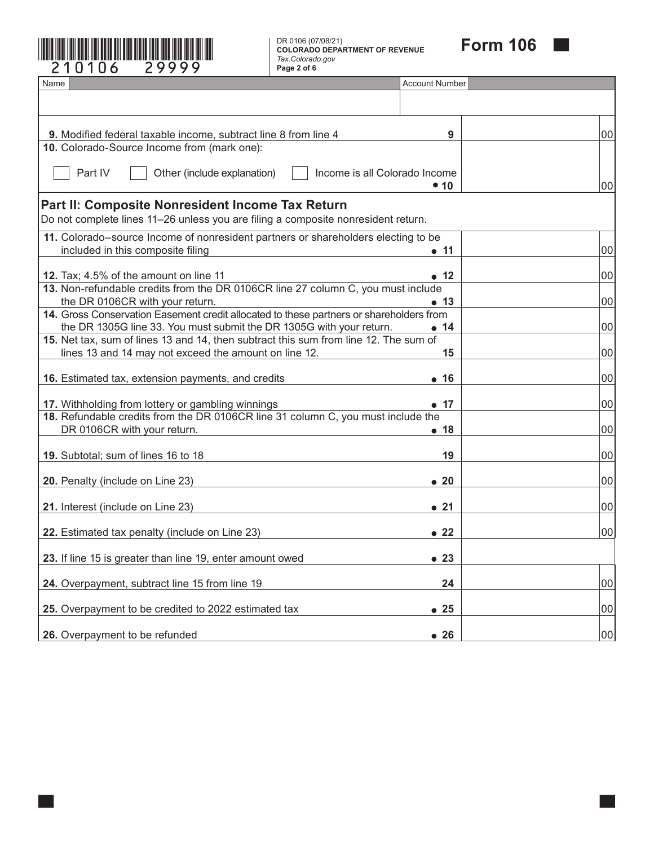

<span id="page-10-17"></span><span id="page-10-16"></span><span id="page-10-15"></span><span id="page-10-14"></span><span id="page-10-13"></span><span id="page-10-12"></span><span id="page-10-11"></span><span id="page-10-10"></span><span id="page-10-9"></span><span id="page-10-8"></span><span id="page-10-7"></span><span id="page-10-6"></span><span id="page-10-5"></span><span id="page-10-4"></span><span id="page-10-3"></span><span id="page-10-2"></span><span id="page-10-1"></span><span id="page-10-0"></span>

| 0106<br>29999                                                                                                                                                                                                                                           | DR 0106 (07/08/21)<br><b>COLORADO DEPARTMENT OF REVENUE</b><br>Tax.Colorado.gov<br>Page 2 of 6 | <b>Form 106</b> |
|---------------------------------------------------------------------------------------------------------------------------------------------------------------------------------------------------------------------------------------------------------|------------------------------------------------------------------------------------------------|-----------------|
| Name                                                                                                                                                                                                                                                    | <b>Account Number</b>                                                                          |                 |
|                                                                                                                                                                                                                                                         |                                                                                                |                 |
| 9. Modified federal taxable income, subtract line 8 from line 4                                                                                                                                                                                         |                                                                                                | 9<br>00         |
| 10. Colorado-Source Income from (mark one):                                                                                                                                                                                                             |                                                                                                |                 |
| Part IV<br>Other (include explanation)                                                                                                                                                                                                                  | Income is all Colorado Income<br>• 10                                                          | 00              |
| Part II: Composite Nonresident Income Tax Return<br>Do not complete lines 11-26 unless you are filing a composite nonresident return.                                                                                                                   |                                                                                                |                 |
| 11. Colorado-source Income of nonresident partners or shareholders electing to be<br>included in this composite filing                                                                                                                                  | $\bullet$ 11                                                                                   | 00              |
| 12. Tax; 4.5% of the amount on line 11                                                                                                                                                                                                                  | $\bullet$ 12                                                                                   | 00              |
| 13. Non-refundable credits from the DR 0106CR line 27 column C, you must include<br>the DR 0106CR with your return.                                                                                                                                     | $\bullet$ 13                                                                                   | 00              |
| 14. Gross Conservation Easement credit allocated to these partners or shareholders from<br>the DR 1305G line 33. You must submit the DR 1305G with your return.<br>15. Net tax, sum of lines 13 and 14, then subtract this sum from line 12. The sum of | $\bullet$ 14                                                                                   | 00              |
| lines 13 and 14 may not exceed the amount on line 12.                                                                                                                                                                                                   |                                                                                                | 15<br>00        |
| 16. Estimated tax, extension payments, and credits                                                                                                                                                                                                      | $\bullet$ 16                                                                                   | 00              |
| 17. Withholding from lottery or gambling winnings                                                                                                                                                                                                       | • 17                                                                                           | 00              |
| 18. Refundable credits from the DR 0106CR line 31 column C, you must include the<br>DR 0106CR with your return.                                                                                                                                         | • 18                                                                                           | 00              |
| 19. Subtotal; sum of lines 16 to 18                                                                                                                                                                                                                     |                                                                                                | 00<br>19        |
| 20. Penalty (include on Line 23)                                                                                                                                                                                                                        | $\bullet$ 20                                                                                   | 00              |
| 21. Interest (include on Line 23)                                                                                                                                                                                                                       | • 21                                                                                           | 00              |
| 22. Estimated tax penalty (include on Line 23)                                                                                                                                                                                                          | $\bullet$ 22                                                                                   | 00              |
| 23. If line 15 is greater than line 19, enter amount owed                                                                                                                                                                                               | $\bullet$ 23                                                                                   |                 |
| 24. Overpayment, subtract line 15 from line 19                                                                                                                                                                                                          |                                                                                                | 24<br>00        |
| 25. Overpayment to be credited to 2022 estimated tax                                                                                                                                                                                                    | • 25                                                                                           | 00              |
| 26. Overpayment to be refunded                                                                                                                                                                                                                          | • 26                                                                                           | 00              |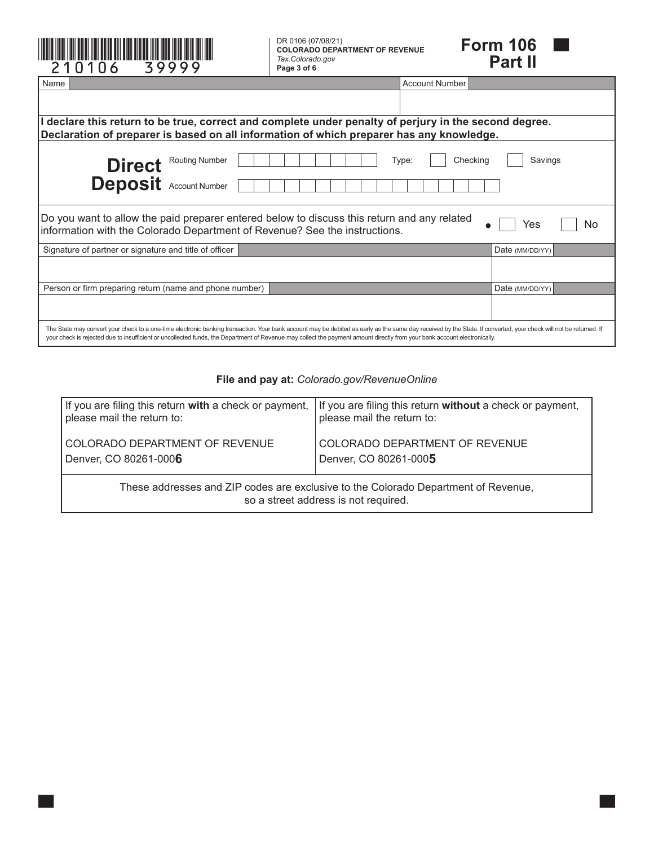| 39999<br>210106                                                                                                                                                                                                                                                                                                                                                                                | DR 0106 (07/08/21)<br><b>COLORADO DEPARTMENT OF REVENUE</b><br>Tax.Colorado.gov<br>Page 3 of 6                                                                                         |                       | <b>Form 106</b><br><b>Part II</b> |  |  |  |  |
|------------------------------------------------------------------------------------------------------------------------------------------------------------------------------------------------------------------------------------------------------------------------------------------------------------------------------------------------------------------------------------------------|----------------------------------------------------------------------------------------------------------------------------------------------------------------------------------------|-----------------------|-----------------------------------|--|--|--|--|
| Name                                                                                                                                                                                                                                                                                                                                                                                           |                                                                                                                                                                                        | <b>Account Number</b> |                                   |  |  |  |  |
|                                                                                                                                                                                                                                                                                                                                                                                                |                                                                                                                                                                                        |                       |                                   |  |  |  |  |
|                                                                                                                                                                                                                                                                                                                                                                                                | declare this return to be true, correct and complete under penalty of perjury in the second degree.                                                                                    |                       |                                   |  |  |  |  |
| Declaration of preparer is based on all information of which preparer has any knowledge.                                                                                                                                                                                                                                                                                                       |                                                                                                                                                                                        |                       |                                   |  |  |  |  |
| Checking<br>Savings<br>Direct Routing Number<br>Type:<br><b>Deposit</b> Account Number                                                                                                                                                                                                                                                                                                         |                                                                                                                                                                                        |                       |                                   |  |  |  |  |
|                                                                                                                                                                                                                                                                                                                                                                                                | Do you want to allow the paid preparer entered below to discuss this return and any related<br>No<br>Yes<br>information with the Colorado Department of Revenue? See the instructions. |                       |                                   |  |  |  |  |
| Signature of partner or signature and title of officer                                                                                                                                                                                                                                                                                                                                         |                                                                                                                                                                                        |                       | Date (MM/DD/YY)                   |  |  |  |  |
|                                                                                                                                                                                                                                                                                                                                                                                                |                                                                                                                                                                                        |                       |                                   |  |  |  |  |
| Person or firm preparing return (name and phone number)                                                                                                                                                                                                                                                                                                                                        |                                                                                                                                                                                        |                       | Date (MM/DD/YY)                   |  |  |  |  |
|                                                                                                                                                                                                                                                                                                                                                                                                |                                                                                                                                                                                        |                       |                                   |  |  |  |  |
| The State may convert your check to a one-time electronic banking transaction. Your bank account may be debited as early as the same day received by the State. If converted, your check will not be returned. If<br>your check is rejected due to insufficient or uncollected funds, the Department of Revenue may collect the payment amount directly from your bank account electronically. |                                                                                                                                                                                        |                       |                                   |  |  |  |  |

#### **File and pay at:** *Colorado.gov/RevenueOnline*

| If you are filing this return with a check or payment,                                                                     | If you are filing this return without a check or payment, |  |  |  |  |  |
|----------------------------------------------------------------------------------------------------------------------------|-----------------------------------------------------------|--|--|--|--|--|
| please mail the return to:                                                                                                 | please mail the return to:                                |  |  |  |  |  |
| COLORADO DEPARTMENT OF REVENUE                                                                                             | COLORADO DEPARTMENT OF REVENUE                            |  |  |  |  |  |
| Denver, CO 80261-0006                                                                                                      | Denver, CO 80261-0005                                     |  |  |  |  |  |
| These addresses and ZIP codes are exclusive to the Colorado Department of Revenue,<br>so a street address is not required. |                                                           |  |  |  |  |  |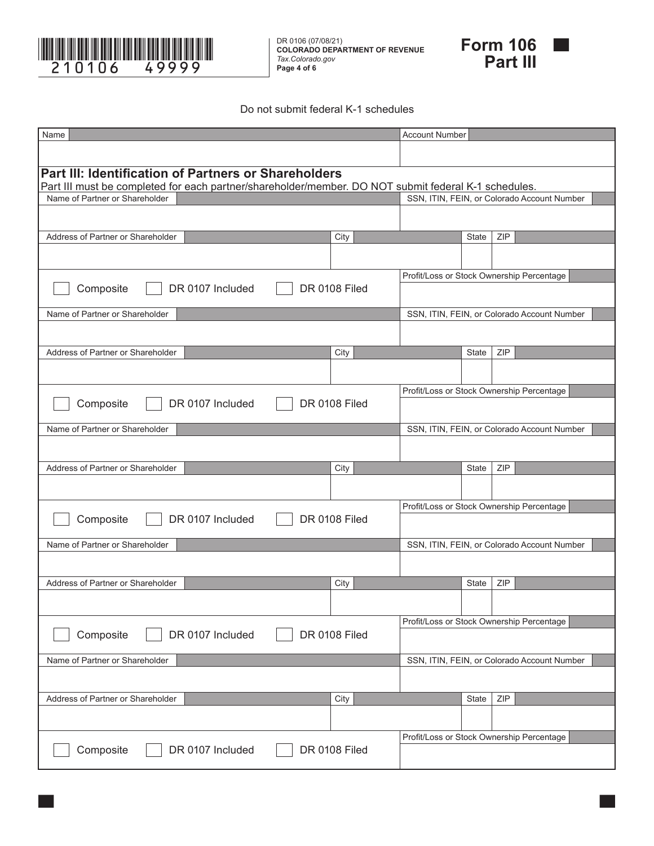

DR 0106 (07/08/21) **COLORADO DEPARTMENT OF REVENUE** *Tax.Colorado.gov* **Page 4 of 6**



#### Do not submit federal K-1 schedules

| Name                                                                                                 |               | <b>Account Number</b>                     |              |     |                                             |
|------------------------------------------------------------------------------------------------------|---------------|-------------------------------------------|--------------|-----|---------------------------------------------|
|                                                                                                      |               |                                           |              |     |                                             |
| <b>Part III: Identification of Partners or Shareholders</b>                                          |               |                                           |              |     |                                             |
| Part III must be completed for each partner/shareholder/member. DO NOT submit federal K-1 schedules. |               |                                           |              |     |                                             |
| Name of Partner or Shareholder                                                                       |               |                                           |              |     | SSN, ITIN, FEIN, or Colorado Account Number |
|                                                                                                      |               |                                           |              |     |                                             |
| Address of Partner or Shareholder                                                                    | City          |                                           | <b>State</b> | ZIP |                                             |
|                                                                                                      |               |                                           |              |     |                                             |
|                                                                                                      |               | Profit/Loss or Stock Ownership Percentage |              |     |                                             |
| DR 0107 Included<br>Composite                                                                        | DR 0108 Filed |                                           |              |     |                                             |
| Name of Partner or Shareholder                                                                       |               |                                           |              |     | SSN, ITIN, FEIN, or Colorado Account Number |
|                                                                                                      |               |                                           |              |     |                                             |
| Address of Partner or Shareholder                                                                    | City          |                                           | <b>State</b> | ZIP |                                             |
|                                                                                                      |               |                                           |              |     |                                             |
|                                                                                                      |               |                                           |              |     |                                             |
|                                                                                                      |               | Profit/Loss or Stock Ownership Percentage |              |     |                                             |
| DR 0107 Included<br>Composite                                                                        | DR 0108 Filed |                                           |              |     |                                             |
| Name of Partner or Shareholder                                                                       |               |                                           |              |     | SSN, ITIN, FEIN, or Colorado Account Number |
|                                                                                                      |               |                                           |              |     |                                             |
| Address of Partner or Shareholder                                                                    | City          |                                           | <b>State</b> | ZIP |                                             |
|                                                                                                      |               |                                           |              |     |                                             |
|                                                                                                      |               | Profit/Loss or Stock Ownership Percentage |              |     |                                             |
| Composite<br>DR 0107 Included                                                                        | DR 0108 Filed |                                           |              |     |                                             |
| Name of Partner or Shareholder                                                                       |               |                                           |              |     | SSN, ITIN, FEIN, or Colorado Account Number |
|                                                                                                      |               |                                           |              |     |                                             |
|                                                                                                      |               |                                           |              |     |                                             |
| Address of Partner or Shareholder                                                                    | City          |                                           | <b>State</b> | ZIP |                                             |
|                                                                                                      |               |                                           |              |     |                                             |
|                                                                                                      |               | Profit/Loss or Stock Ownership Percentage |              |     |                                             |
| Composite<br>DR 0107 Included                                                                        | DR 0108 Filed |                                           |              |     |                                             |
| Name of Partner or Shareholder                                                                       |               |                                           |              |     | SSN, ITIN, FEIN, or Colorado Account Number |
|                                                                                                      |               |                                           |              |     |                                             |
| Address of Partner or Shareholder                                                                    | City          |                                           | State        | ZIP |                                             |
|                                                                                                      |               |                                           |              |     |                                             |
|                                                                                                      |               |                                           |              |     |                                             |
|                                                                                                      |               | Profit/Loss or Stock Ownership Percentage |              |     |                                             |
| Composite<br>DR 0107 Included                                                                        | DR 0108 Filed |                                           |              |     |                                             |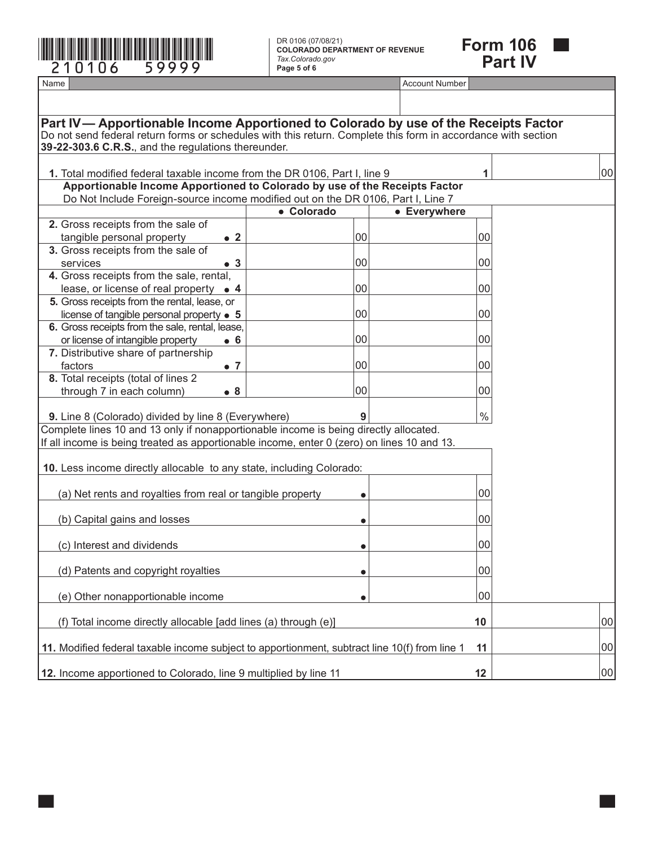

DR 0106 (07/08/21) **COLORADO DEPARTMENT OF REVENUE** *Tax.Colorado.gov* **Page 5 of 6**



Name **Account Number and Account Number and Account Number and Account Number and Account Number** Account Number

<span id="page-13-11"></span><span id="page-13-10"></span><span id="page-13-9"></span><span id="page-13-8"></span><span id="page-13-7"></span><span id="page-13-6"></span><span id="page-13-5"></span><span id="page-13-4"></span><span id="page-13-3"></span><span id="page-13-2"></span><span id="page-13-1"></span><span id="page-13-0"></span>

| Part IV— Apportionable Income Apportioned to Colorado by use of the Receipts Factor                                                                                  |            |              |        |    |
|----------------------------------------------------------------------------------------------------------------------------------------------------------------------|------------|--------------|--------|----|
| Do not send federal return forms or schedules with this return. Complete this form in accordance with section<br>39-22-303.6 C.R.S., and the regulations thereunder. |            |              |        |    |
|                                                                                                                                                                      |            |              |        |    |
| 1. Total modified federal taxable income from the DR 0106, Part I, line 9<br>Apportionable Income Apportioned to Colorado by use of the Receipts Factor              |            |              | 1      | 00 |
| Do Not Include Foreign-source income modified out on the DR 0106, Part I, Line 7                                                                                     |            |              |        |    |
|                                                                                                                                                                      | • Colorado | • Everywhere |        |    |
| 2. Gross receipts from the sale of                                                                                                                                   |            |              |        |    |
| tangible personal property<br>$\bullet$ 2                                                                                                                            | 00         |              | 00     |    |
| 3. Gross receipts from the sale of<br>services<br>$\bullet$ 3                                                                                                        | 00         |              | $00\,$ |    |
| 4. Gross receipts from the sale, rental,                                                                                                                             |            |              |        |    |
| lease, or license of real property • 4                                                                                                                               | 00         |              | $00\,$ |    |
| 5. Gross receipts from the rental, lease, or                                                                                                                         |            |              |        |    |
| license of tangible personal property $\bullet$ 5                                                                                                                    | 00         |              | $00\,$ |    |
| 6. Gross receipts from the sale, rental, lease,<br>or license of intangible property<br>$\bullet$ 6                                                                  | 00         |              | $00\,$ |    |
| 7. Distributive share of partnership                                                                                                                                 |            |              |        |    |
| factors<br>$\bullet$ 7                                                                                                                                               | 00         |              | $00\,$ |    |
| 8. Total receipts (total of lines 2                                                                                                                                  |            |              |        |    |
| through 7 in each column)<br>$\bullet$ 8                                                                                                                             | 00         |              | $00\,$ |    |
| 9. Line 8 (Colorado) divided by line 8 (Everywhere)                                                                                                                  | 9          |              | $\%$   |    |
| Complete lines 10 and 13 only if nonapportionable income is being directly allocated.                                                                                |            |              |        |    |
| If all income is being treated as apportionable income, enter 0 (zero) on lines 10 and 13.                                                                           |            |              |        |    |
|                                                                                                                                                                      |            |              |        |    |
| 10. Less income directly allocable to any state, including Colorado:                                                                                                 |            |              |        |    |
| (a) Net rents and royalties from real or tangible property                                                                                                           |            |              | $00\,$ |    |
|                                                                                                                                                                      |            |              |        |    |
| (b) Capital gains and losses                                                                                                                                         |            |              | $00\,$ |    |
|                                                                                                                                                                      |            |              |        |    |
| (c) Interest and dividends                                                                                                                                           |            |              | 00     |    |
| (d) Patents and copyright royalties                                                                                                                                  | $\bullet$  |              | $00\,$ |    |
|                                                                                                                                                                      |            |              |        |    |
| (e) Other nonapportionable income                                                                                                                                    | $\bullet$  |              | 00     |    |
| (f) Total income directly allocable [add lines (a) through (e)]                                                                                                      |            |              | 10     | 00 |
| 11. Modified federal taxable income subject to apportionment, subtract line 10(f) from line 1                                                                        |            |              | 11     | 00 |
| 12. Income apportioned to Colorado, line 9 multiplied by line 11                                                                                                     |            |              | 12     | 00 |
|                                                                                                                                                                      |            |              |        |    |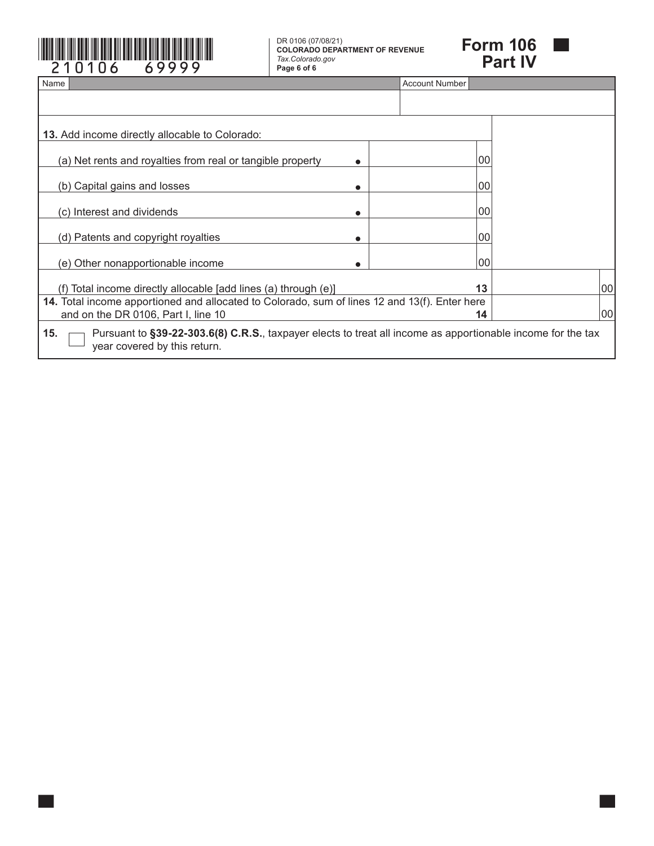

**COLORADO DEPARTMENT OF REVENUE** *Tax.Colorado.gov* **Page 6 of 6**



<span id="page-14-1"></span><span id="page-14-0"></span>

| Name                                                                                                                                               | Account Number |    |
|----------------------------------------------------------------------------------------------------------------------------------------------------|----------------|----|
|                                                                                                                                                    |                |    |
| <b>13.</b> Add income directly allocable to Colorado:                                                                                              |                |    |
| (a) Net rents and royalties from real or tangible property                                                                                         | 00             |    |
| (b) Capital gains and losses                                                                                                                       | 00             |    |
| (c) Interest and dividends                                                                                                                         | 00             |    |
| (d) Patents and copyright royalties                                                                                                                | 00             |    |
| (e) Other nonapportionable income                                                                                                                  | 00             |    |
| (f) Total income directly allocable [add lines (a) through (e)]                                                                                    | 13             | 00 |
| 14. Total income apportioned and allocated to Colorado, sum of lines 12 and 13(f). Enter here<br>and on the DR 0106, Part I, line 10               | 14             | 00 |
| Pursuant to §39-22-303.6(8) C.R.S., taxpayer elects to treat all income as apportionable income for the tax<br>15.<br>year covered by this return. |                |    |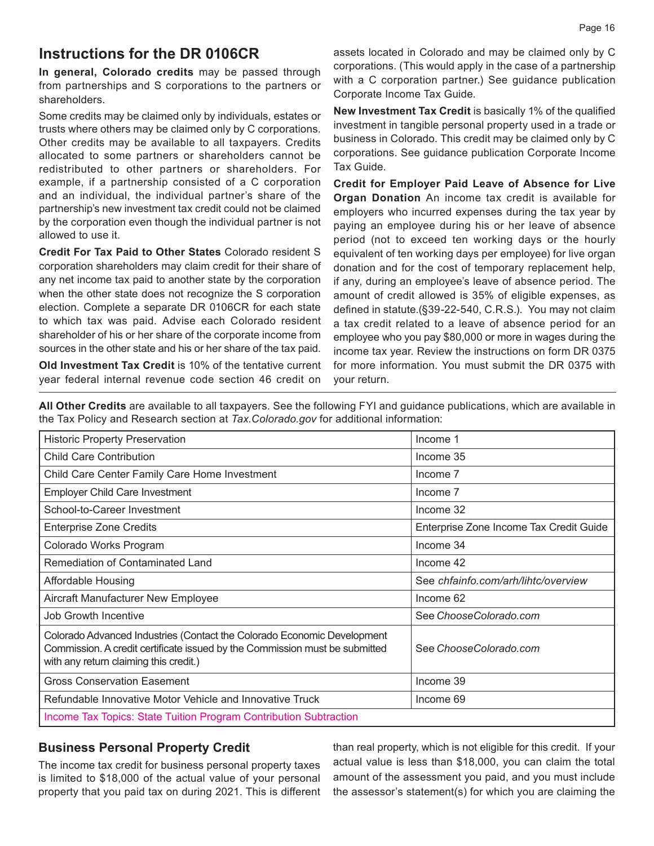#### **Instructions for the DR 0106CR**

**In general, Colorado credits** may be passed through from partnerships and S corporations to the partners or shareholders.

Some credits may be claimed only by individuals, estates or trusts where others may be claimed only by C corporations. Other credits may be available to all taxpayers. Credits allocated to some partners or shareholders cannot be redistributed to other partners or shareholders. For example, if a partnership consisted of a C corporation and an individual, the individual partner's share of the partnership's new investment tax credit could not be claimed by the corporation even though the individual partner is not allowed to use it.

**Credit For Tax Paid to Other States** Colorado resident S corporation shareholders may claim credit for their share of any net income tax paid to another state by the corporation when the other state does not recognize the S corporation election. Complete a separate DR 0106CR for each state to which tax was paid. Advise each Colorado resident shareholder of his or her share of the corporate income from sources in the other state and his or her share of the tax paid.

**Old Investment Tax Credit** is 10% of the tentative current year federal internal revenue code section 46 credit on assets located in Colorado and may be claimed only by C corporations. (This would apply in the case of a partnership with a C corporation partner.) See guidance publication Corporate Income Tax Guide.

**New Investment Tax Credit** is basically 1% of the qualified investment in tangible personal property used in a trade or business in Colorado. This credit may be claimed only by C corporations. See guidance publication Corporate Income Tax Guide.

**Credit for Employer Paid Leave of Absence for Live Organ Donation** An income tax credit is available for employers who incurred expenses during the tax year by paying an employee during his or her leave of absence period (not to exceed ten working days or the hourly equivalent of ten working days per employee) for live organ donation and for the cost of temporary replacement help, if any, during an employee's leave of absence period. The amount of credit allowed is 35% of eligible expenses, as defined in statute.(§39-22-540, C.R.S.). You may not claim a tax credit related to a leave of absence period for an employee who you pay \$80,000 or more in wages during the income tax year. Review the instructions on form DR 0375 for more information. You must submit the DR 0375 with your return.

**All Other Credits** are available to all taxpayers. See the following FYI and guidance publications, which are available in the Tax Policy and Research section at *[Tax.Colorado.gov](http://Tax.Colorado.gov)* for additional information:

| <b>Historic Property Preservation</b>                                                                                                                                                            | Income 1                                |
|--------------------------------------------------------------------------------------------------------------------------------------------------------------------------------------------------|-----------------------------------------|
| <b>Child Care Contribution</b>                                                                                                                                                                   | Income 35                               |
| Child Care Center Family Care Home Investment                                                                                                                                                    | Income 7                                |
| <b>Employer Child Care Investment</b>                                                                                                                                                            | Income 7                                |
| School-to-Career Investment                                                                                                                                                                      | Income 32                               |
| <b>Enterprise Zone Credits</b>                                                                                                                                                                   | Enterprise Zone Income Tax Credit Guide |
| Colorado Works Program                                                                                                                                                                           | Income 34                               |
| Remediation of Contaminated Land                                                                                                                                                                 | Income 42                               |
| <b>Affordable Housing</b>                                                                                                                                                                        | See chfainfo.com/arh/lihtc/overview     |
| Aircraft Manufacturer New Employee                                                                                                                                                               | Income 62                               |
| <b>Job Growth Incentive</b>                                                                                                                                                                      | See Choose Colorado.com                 |
| Colorado Advanced Industries (Contact the Colorado Economic Development<br>Commission. A credit certificate issued by the Commission must be submitted<br>with any return claiming this credit.) | See Choose Colorado.com                 |
| <b>Gross Conservation Easement</b>                                                                                                                                                               | Income 39                               |
| Refundable Innovative Motor Vehicle and Innovative Truck                                                                                                                                         | Income 69                               |
| Income Tax Topics: State Tuition Program Contribution Subtraction                                                                                                                                |                                         |

#### **Business Personal Property Credit**

The income tax credit for business personal property taxes is limited to \$18,000 of the actual value of your personal property that you paid tax on during 2021. This is different than real property, which is not eligible for this credit. If your actual value is less than \$18,000, you can claim the total amount of the assessment you paid, and you must include the assessor's statement(s) for which you are claiming the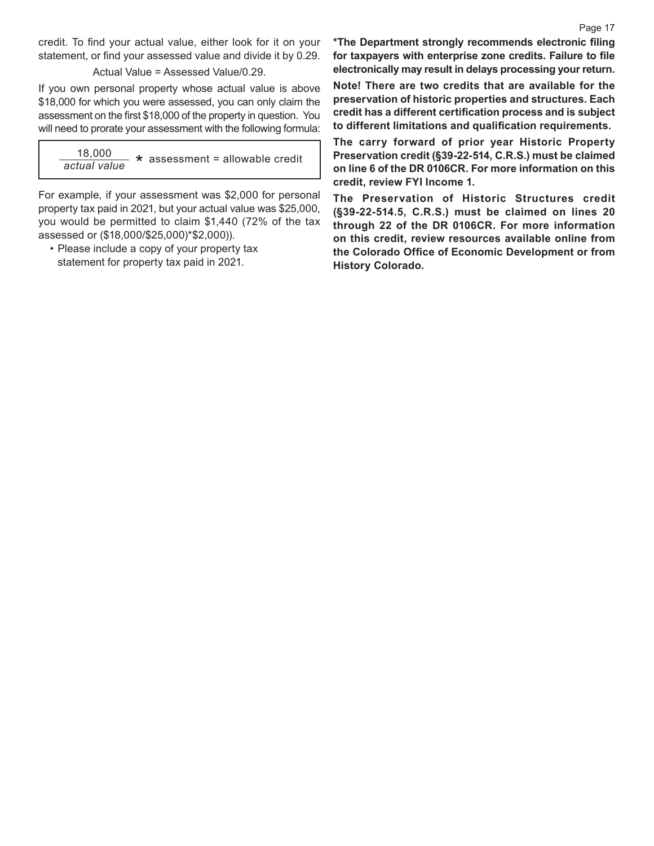credit. To find your actual value, either look for it on your statement, or find your assessed value and divide it by 0.29.

Actual Value = Assessed Value/0.29.

If you own personal property whose actual value is above \$18,000 for which you were assessed, you can only claim the assessment on the first \$18,000 of the property in question. You will need to prorate your assessment with the following formula:

18,000 \* assessment = allowable credit *actual value*

For example, if your assessment was \$2,000 for personal property tax paid in 2021, but your actual value was \$25,000, you would be permitted to claim \$1,440 (72% of the tax assessed or (\$18,000/\$25,000)\*\$2,000)).

• Please include a copy of your property tax statement for property tax paid in 2021.

**\*The Department strongly recommends electronic filing for taxpayers with enterprise zone credits. Failure to file electronically may result in delays processing your return.**

**Note! There are two credits that are available for the preservation of historic properties and structures. Each credit has a different certification process and is subject to different limitations and qualification requirements.**

**The carry forward of prior year Historic Property Preservation credit (§39-22-514, C.R.S.) must be claimed on line 6 of the DR 0106CR. For more information on this credit, review FYI Income 1.** 

**The Preservation of Historic Structures credit (§39-22-514.5, C.R.S.) must be claimed on lines 20 through 22 of the DR 0106CR. For more information on this credit, review resources available online from the Colorado Office of Economic Development or from History Colorado.**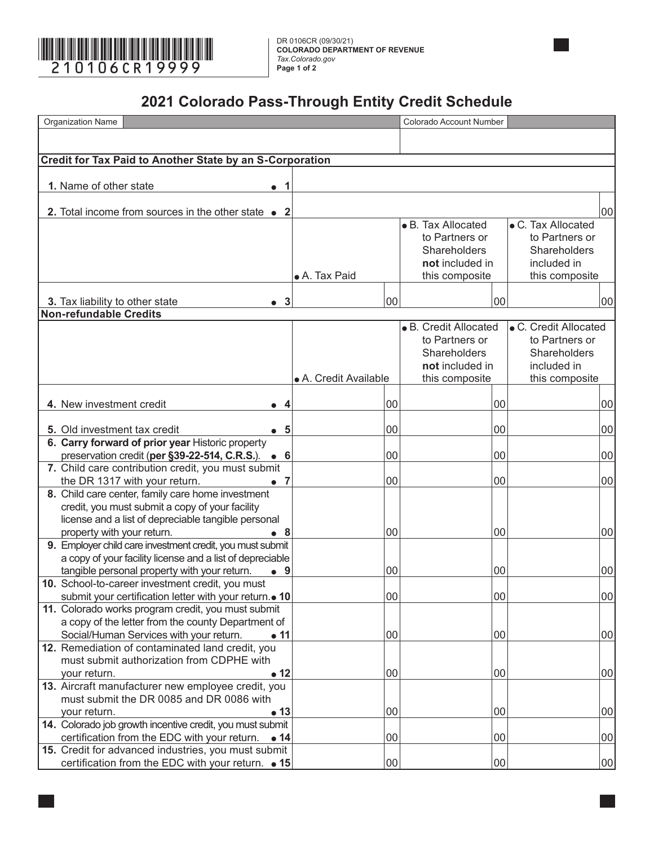

**COLORADO DEPARTMENT OF REVENUE** *Tax.Colorado.gov* **Page 1 of 2**

#### **2021 Colorado Pass-Through Entity Credit Schedule**

<span id="page-17-14"></span><span id="page-17-13"></span><span id="page-17-12"></span><span id="page-17-11"></span><span id="page-17-10"></span><span id="page-17-9"></span><span id="page-17-8"></span><span id="page-17-7"></span><span id="page-17-6"></span><span id="page-17-5"></span><span id="page-17-4"></span><span id="page-17-3"></span><span id="page-17-2"></span><span id="page-17-1"></span><span id="page-17-0"></span>

| Organization Name                                                                                                        |                       |    | Colorado Account Number |    |                       |    |
|--------------------------------------------------------------------------------------------------------------------------|-----------------------|----|-------------------------|----|-----------------------|----|
|                                                                                                                          |                       |    |                         |    |                       |    |
|                                                                                                                          |                       |    |                         |    |                       |    |
| <b>Credit for Tax Paid to Another State by an S-Corporation</b>                                                          |                       |    |                         |    |                       |    |
| 1. Name of other state<br>1                                                                                              |                       |    |                         |    |                       |    |
| $\bullet$                                                                                                                |                       |    |                         |    |                       |    |
| 2. Total income from sources in the other state $\bullet$ 2                                                              |                       |    |                         |    |                       | 00 |
|                                                                                                                          |                       |    | • B. Tax Allocated      |    | • C. Tax Allocated    |    |
|                                                                                                                          |                       |    | to Partners or          |    | to Partners or        |    |
|                                                                                                                          |                       |    | Shareholders            |    | Shareholders          |    |
|                                                                                                                          |                       |    | not included in         |    | included in           |    |
|                                                                                                                          | • A. Tax Paid         |    | this composite          |    | this composite        |    |
|                                                                                                                          |                       |    |                         |    |                       |    |
| $\bullet$ 3<br>3. Tax liability to other state                                                                           |                       | 00 |                         | 00 |                       | 00 |
| Non-refundable Credits                                                                                                   |                       |    |                         |    |                       |    |
|                                                                                                                          |                       |    | • B. Credit Allocated   |    | • C. Credit Allocated |    |
|                                                                                                                          |                       |    | to Partners or          |    | to Partners or        |    |
|                                                                                                                          |                       |    | Shareholders            |    | Shareholders          |    |
|                                                                                                                          |                       |    | not included in         |    | included in           |    |
|                                                                                                                          | • A. Credit Available |    | this composite          |    | this composite        |    |
| 4. New investment credit<br>4<br>$\bullet$                                                                               |                       | 00 |                         | 00 |                       | 00 |
|                                                                                                                          |                       |    |                         |    |                       |    |
| 5. Old investment tax credit<br>• 5                                                                                      |                       | 00 |                         | 00 |                       | 00 |
| 6. Carry forward of prior year Historic property                                                                         |                       |    |                         |    |                       |    |
| preservation credit (per §39-22-514, C.R.S.).<br>• 6                                                                     |                       | 00 |                         | 00 |                       | 00 |
| 7. Child care contribution credit, you must submit                                                                       |                       |    |                         |    |                       |    |
| the DR 1317 with your return.<br>- 7                                                                                     |                       | 00 |                         | 00 |                       | 00 |
| 8. Child care center, family care home investment                                                                        |                       |    |                         |    |                       |    |
| credit, you must submit a copy of your facility                                                                          |                       |    |                         |    |                       |    |
| license and a list of depreciable tangible personal                                                                      |                       |    |                         |    |                       |    |
| property with your return.<br>∙ 8                                                                                        |                       | 00 |                         | 00 |                       | 00 |
| 9. Employer child care investment credit, you must submit                                                                |                       |    |                         |    |                       |    |
| a copy of your facility license and a list of depreciable<br>tangible personal property with your return.<br>$\bullet$ 9 |                       | 00 |                         | 00 |                       | 00 |
| 10. School-to-career investment credit, you must                                                                         |                       |    |                         |    |                       |    |
| submit your certification letter with your return.• 10                                                                   |                       | 00 |                         | 00 |                       | 00 |
| 11. Colorado works program credit, you must submit                                                                       |                       |    |                         |    |                       |    |
| a copy of the letter from the county Department of                                                                       |                       |    |                         |    |                       |    |
| Social/Human Services with your return.<br>$\bullet$ 11                                                                  |                       | 00 |                         | 00 |                       | 00 |
| 12. Remediation of contaminated land credit, you                                                                         |                       |    |                         |    |                       |    |
| must submit authorization from CDPHE with                                                                                |                       |    |                         |    |                       |    |
| $\bullet$ 12<br>your return.                                                                                             |                       | 00 |                         | 00 |                       | 00 |
| 13. Aircraft manufacturer new employee credit, you                                                                       |                       |    |                         |    |                       |    |
| must submit the DR 0085 and DR 0086 with                                                                                 |                       |    |                         |    |                       |    |
| your return.<br>$\bullet$ 13                                                                                             |                       | 00 |                         | 00 |                       | 00 |
| 14. Colorado job growth incentive credit, you must submit                                                                |                       |    |                         |    |                       |    |
| certification from the EDC with your return. • 14                                                                        |                       | 00 |                         | 00 |                       | 00 |
| 15. Credit for advanced industries, you must submit                                                                      |                       |    |                         |    |                       |    |
| certification from the EDC with your return. • 15                                                                        |                       | 00 |                         | 00 |                       | 00 |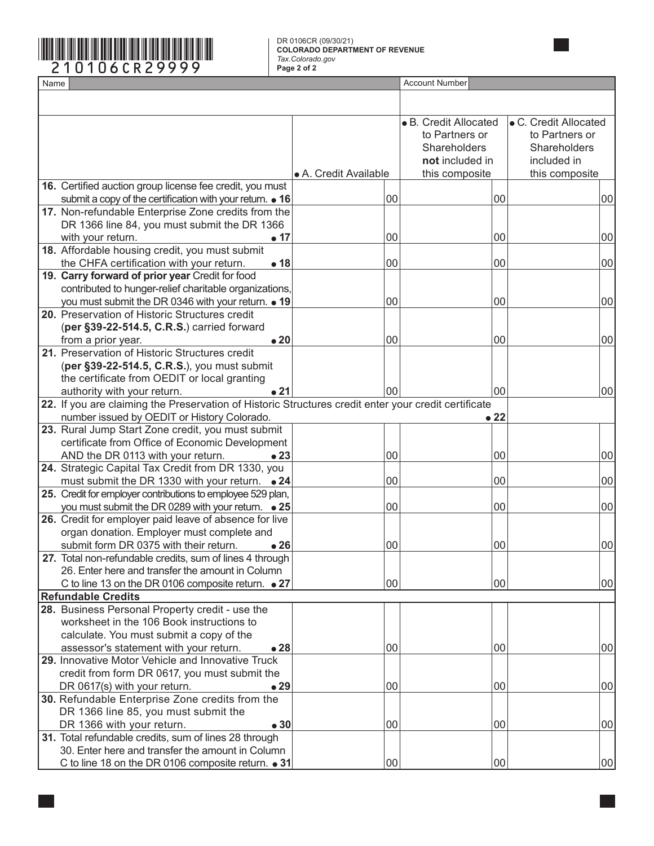#### **COLORADO DEPARTMENT OF REVENUE** *Tax.Colorado.gov* **Page 2 of 2**

<span id="page-18-14"></span><span id="page-18-13"></span><span id="page-18-12"></span><span id="page-18-11"></span><span id="page-18-10"></span><span id="page-18-9"></span><span id="page-18-8"></span><span id="page-18-7"></span><span id="page-18-6"></span><span id="page-18-5"></span><span id="page-18-4"></span><span id="page-18-3"></span><span id="page-18-2"></span><span id="page-18-1"></span><span id="page-18-0"></span>

|      |                                                                                                      | DR 0106CR (09/30/21)<br><b>COLORADO DEPARTMENT OF REVENUE</b> |                       |                       |  |
|------|------------------------------------------------------------------------------------------------------|---------------------------------------------------------------|-----------------------|-----------------------|--|
|      | 0106CR29999                                                                                          | Tax.Colorado.gov<br>Page 2 of 2                               |                       |                       |  |
| Name |                                                                                                      | <b>Account Number</b>                                         |                       |                       |  |
|      |                                                                                                      |                                                               |                       |                       |  |
|      |                                                                                                      |                                                               |                       |                       |  |
|      |                                                                                                      |                                                               | • B. Credit Allocated | • C. Credit Allocated |  |
|      |                                                                                                      |                                                               | to Partners or        | to Partners or        |  |
|      |                                                                                                      |                                                               | Shareholders          | Shareholders          |  |
|      |                                                                                                      |                                                               | not included in       | included in           |  |
|      |                                                                                                      | • A. Credit Available                                         | this composite        | this composite        |  |
|      | 16. Certified auction group license fee credit, you must                                             |                                                               |                       |                       |  |
|      | submit a copy of the certification with your return. • 16                                            |                                                               | 00                    | 00<br>00              |  |
|      | 17. Non-refundable Enterprise Zone credits from the                                                  |                                                               |                       |                       |  |
|      | DR 1366 line 84, you must submit the DR 1366                                                         |                                                               |                       |                       |  |
|      | $\bullet$ 17<br>with your return.<br>18. Affordable housing credit, you must submit                  |                                                               | 00                    | 00<br>00              |  |
|      | the CHFA certification with your return.<br>•18                                                      |                                                               | 00                    | 00<br>00              |  |
|      | 19. Carry forward of prior year Credit for food                                                      |                                                               |                       |                       |  |
|      | contributed to hunger-relief charitable organizations,                                               |                                                               |                       |                       |  |
|      | you must submit the DR 0346 with your return. • 19                                                   |                                                               | 100                   | 00<br>00              |  |
|      | 20. Preservation of Historic Structures credit                                                       |                                                               |                       |                       |  |
|      | (per §39-22-514.5, C.R.S.) carried forward                                                           |                                                               |                       |                       |  |
|      | $\bullet$ 20<br>from a prior year.                                                                   |                                                               | 100                   | 00<br>00              |  |
|      | 21. Preservation of Historic Structures credit                                                       |                                                               |                       |                       |  |
|      | (per §39-22-514.5, C.R.S.), you must submit                                                          |                                                               |                       |                       |  |
|      | the certificate from OEDIT or local granting                                                         |                                                               |                       |                       |  |
|      | •21<br>authority with your return.                                                                   |                                                               | 100                   | 00<br>00              |  |
|      | 22. If you are claiming the Preservation of Historic Structures credit enter your credit certificate |                                                               |                       |                       |  |
|      | number issued by OEDIT or History Colorado.                                                          |                                                               |                       | • 22                  |  |
|      | 23. Rural Jump Start Zone credit, you must submit                                                    |                                                               |                       |                       |  |
|      | certificate from Office of Economic Development                                                      |                                                               |                       |                       |  |
|      | AND the DR 0113 with your return.<br>$\bullet$ 23                                                    |                                                               | 100                   | 00<br>00              |  |
|      | 24. Strategic Capital Tax Credit from DR 1330, you                                                   |                                                               |                       |                       |  |
|      | must submit the DR 1330 with your return. • 24                                                       |                                                               | 00                    | 00<br>00              |  |
|      | 25. Credit for employer contributions to employee 529 plan,                                          |                                                               |                       |                       |  |
|      | you must submit the DR 0289 with your return. $\bullet$ 25                                           |                                                               | 00                    | 00<br>00              |  |
|      | 26. Credit for employer paid leave of absence for live<br>organ donation. Employer must complete and |                                                               |                       |                       |  |
|      | submit form DR 0375 with their return.<br>$\bullet$ 26                                               |                                                               | 00                    | 00<br>00              |  |
|      | 27. Total non-refundable credits, sum of lines 4 through                                             |                                                               |                       |                       |  |
|      | 26. Enter here and transfer the amount in Column                                                     |                                                               |                       |                       |  |
|      | C to line 13 on the DR 0106 composite return. • 27                                                   |                                                               | 00                    | 00<br>00              |  |
|      | <b>Refundable Credits</b>                                                                            |                                                               |                       |                       |  |
|      | 28. Business Personal Property credit - use the                                                      |                                                               |                       |                       |  |
|      | worksheet in the 106 Book instructions to                                                            |                                                               |                       |                       |  |
|      | calculate. You must submit a copy of the                                                             |                                                               |                       |                       |  |
|      | •28<br>assessor's statement with your return.                                                        |                                                               | 00                    | 00<br>00              |  |
|      | 29. Innovative Motor Vehicle and Innovative Truck                                                    |                                                               |                       |                       |  |
|      | credit from form DR 0617, you must submit the                                                        |                                                               |                       |                       |  |
|      | $\bullet$ 29<br>DR 0617(s) with your return.                                                         |                                                               | 00                    | 00<br>00              |  |
|      | 30. Refundable Enterprise Zone credits from the                                                      |                                                               |                       |                       |  |
|      | DR 1366 line 85, you must submit the                                                                 |                                                               |                       |                       |  |
|      | •30<br>DR 1366 with your return.                                                                     |                                                               | 00                    | 00<br>00              |  |
|      | 31. Total refundable credits, sum of lines 28 through                                                |                                                               |                       |                       |  |
|      | 30. Enter here and transfer the amount in Column                                                     |                                                               |                       |                       |  |
|      | C to line 18 on the DR 0106 composite return. • 31                                                   |                                                               | 00                    | 00<br>00              |  |